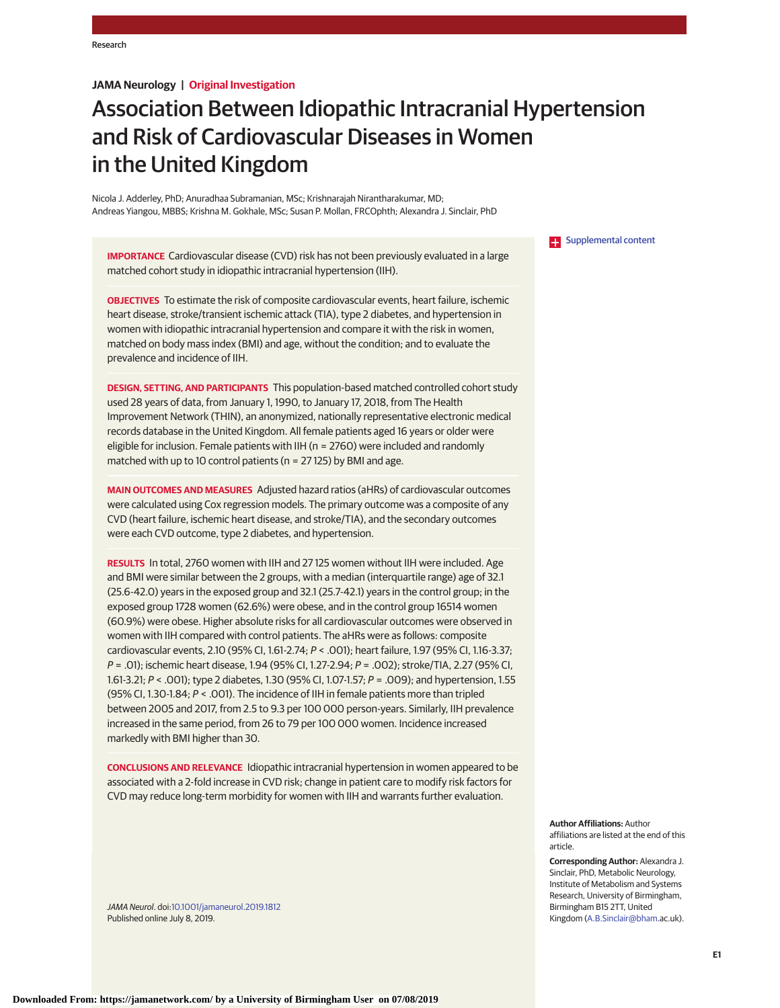# **JAMA Neurology | Original Investigation**

# Association Between Idiopathic Intracranial Hypertension and Risk of Cardiovascular Diseases in Women in the United Kingdom

Nicola J. Adderley, PhD; Anuradhaa Subramanian, MSc; Krishnarajah Nirantharakumar, MD; Andreas Yiangou, MBBS; Krishna M. Gokhale, MSc; Susan P. Mollan, FRCOphth; Alexandra J. Sinclair, PhD

**IMPORTANCE** Cardiovascular disease (CVD) risk has not been previously evaluated in a large matched cohort study in idiopathic intracranial hypertension (IIH).

**OBJECTIVES** To estimate the risk of composite cardiovascular events, heart failure, ischemic heart disease, stroke/transient ischemic attack (TIA), type 2 diabetes, and hypertension in women with idiopathic intracranial hypertension and compare it with the risk in women, matched on body mass index (BMI) and age, without the condition; and to evaluate the prevalence and incidence of IIH.

**DESIGN, SETTING, AND PARTICIPANTS** This population-based matched controlled cohort study used 28 years of data, from January 1, 1990, to January 17, 2018, from The Health Improvement Network (THIN), an anonymized, nationally representative electronic medical records database in the United Kingdom. All female patients aged 16 years or older were eligible for inclusion. Female patients with IIH ( $n = 2760$ ) were included and randomly matched with up to 10 control patients (n = 27 125) by BMI and age.

**MAIN OUTCOMES AND MEASURES** Adjusted hazard ratios (aHRs) of cardiovascular outcomes were calculated using Cox regression models. The primary outcome was a composite of any CVD (heart failure, ischemic heart disease, and stroke/TIA), and the secondary outcomes were each CVD outcome, type 2 diabetes, and hypertension.

**RESULTS** In total, 2760 women with IIH and 27 125 women without IIH were included. Age and BMI were similar between the 2 groups, with a median (interquartile range) age of 32.1 (25.6-42.0) years in the exposed group and 32.1 (25.7-42.1) years in the control group; in the exposed group 1728 women (62.6%) were obese, and in the control group 16514 women (60.9%) were obese. Higher absolute risks for all cardiovascular outcomes were observed in women with IIH compared with control patients. The aHRs were as follows: composite cardiovascular events, 2.10 (95% CI, 1.61-2.74; P < .001); heart failure, 1.97 (95% CI, 1.16-3.37; P = .01); ischemic heart disease, 1.94 (95% CI, 1.27-2.94; P = .002); stroke/TIA, 2.27 (95% CI, 1.61-3.21; P < .001); type 2 diabetes, 1.30 (95% CI, 1.07-1.57; P = .009); and hypertension, 1.55 (95% CI, 1.30-1.84; P < .001). The incidence of IIH in female patients more than tripled between 2005 and 2017, from 2.5 to 9.3 per 100 000 person-years. Similarly, IIH prevalence increased in the same period, from 26 to 79 per 100 000 women. Incidence increased markedly with BMI higher than 30.

**CONCLUSIONS AND RELEVANCE** Idiopathic intracranial hypertension in women appeared to be associated with a 2-fold increase in CVD risk; change in patient care to modify risk factors for CVD may reduce long-term morbidity for women with IIH and warrants further evaluation.

JAMA Neurol. doi[:10.1001/jamaneurol.2019.1812](https://jama.jamanetwork.com/article.aspx?doi=10.1001/jamaneurol.2019.1812&utm_campaign=articlePDF%26utm_medium=articlePDFlink%26utm_source=articlePDF%26utm_content=jamaneurol.2019.1812) Published online July 8, 2019.

**Examplemental content** 

**Author Affiliations:** Author affiliations are listed at the end of this article.

**Corresponding Author:** Alexandra J. Sinclair, PhD, Metabolic Neurology, Institute of Metabolism and Systems Research, University of Birmingham, Birmingham B15 2TT, United Kingdom [\(A.B.Sinclair@bham.](mailto:A.B.Sinclair@bham)ac.uk).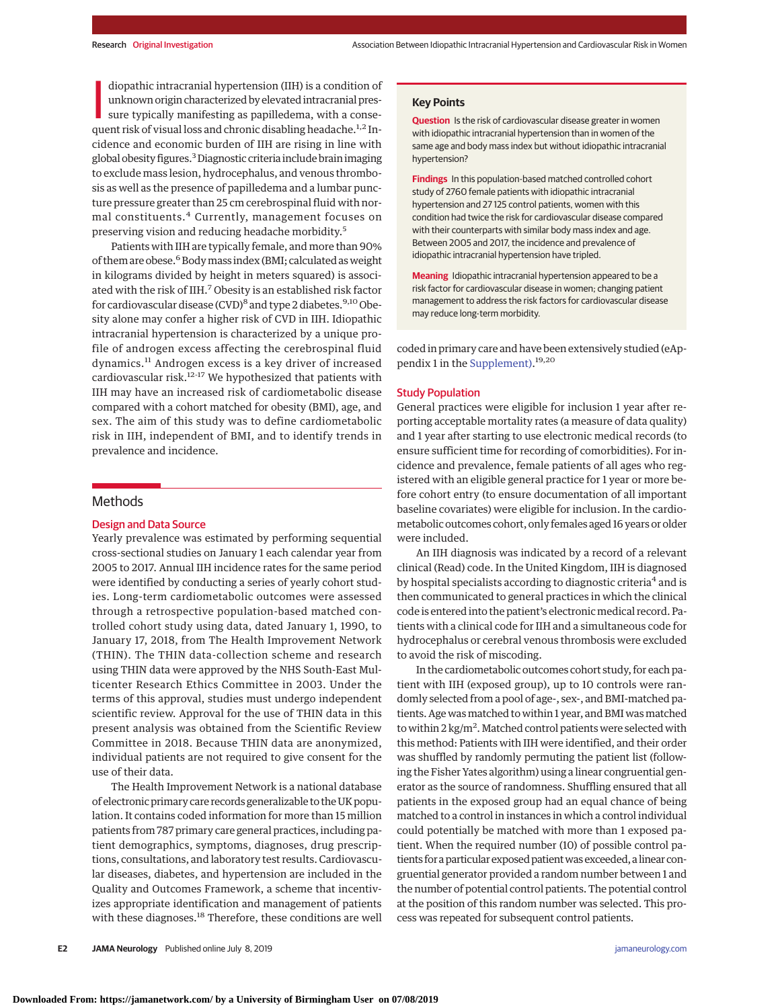diopathic intracranial hypertension (IIH) is a condition of<br>unknown origin characterized by elevated intracranial pres-<br>sure typically manifesting as papilledema, with a conse-<br>quent risk of visual loss and chronic disabli diopathic intracranial hypertension (IIH) is a condition of unknown origin characterized by elevated intracranial pressure typically manifesting as papilledema, with a consecidence and economic burden of IIH are rising in line with global obesity figures.3Diagnostic criteria include brain imaging to exclude mass lesion, hydrocephalus, and venous thrombosis as well as the presence of papilledema and a lumbar puncture pressure greater than 25 cm cerebrospinal fluid with normal constituents.<sup>4</sup> Currently, management focuses on preserving vision and reducing headache morbidity.<sup>5</sup>

Patients with IIH are typically female, and more than 90% of them are obese.<sup>6</sup> Body mass index (BMI; calculated as weight in kilograms divided by height in meters squared) is associated with the risk of IIH.<sup>7</sup> Obesity is an established risk factor for cardiovascular disease (CVD)<sup>8</sup> and type 2 diabetes.<sup>9,10</sup> Obesity alone may confer a higher risk of CVD in IIH. Idiopathic intracranial hypertension is characterized by a unique profile of androgen excess affecting the cerebrospinal fluid dynamics.<sup>11</sup> Androgen excess is a key driver of increased cardiovascular risk.12-17 We hypothesized that patients with IIH may have an increased risk of cardiometabolic disease compared with a cohort matched for obesity (BMI), age, and sex. The aim of this study was to define cardiometabolic risk in IIH, independent of BMI, and to identify trends in prevalence and incidence.

# **Methods**

# Design and Data Source

Yearly prevalence was estimated by performing sequential cross-sectional studies on January 1 each calendar year from 2005 to 2017. Annual IIH incidence rates for the same period were identified by conducting a series of yearly cohort studies. Long-term cardiometabolic outcomes were assessed through a retrospective population-based matched controlled cohort study using data, dated January 1, 1990, to January 17, 2018, from The Health Improvement Network (THIN). The THIN data-collection scheme and research using THIN data were approved by the NHS South-East Multicenter Research Ethics Committee in 2003. Under the terms of this approval, studies must undergo independent scientific review. Approval for the use of THIN data in this present analysis was obtained from the Scientific Review Committee in 2018. Because THIN data are anonymized, individual patients are not required to give consent for the use of their data.

The Health Improvement Network is a national database of electronic primary care records generalizable to the UK population. It contains coded information for more than 15 million patients from 787 primary care general practices, including patient demographics, symptoms, diagnoses, drug prescriptions, consultations, and laboratory test results. Cardiovascular diseases, diabetes, and hypertension are included in the Quality and Outcomes Framework, a scheme that incentivizes appropriate identification and management of patients with these diagnoses.<sup>18</sup> Therefore, these conditions are well

# **Key Points**

**Question** Is the risk of cardiovascular disease greater in women with idiopathic intracranial hypertension than in women of the same age and body mass index but without idiopathic intracranial hypertension?

**Findings** In this population-based matched controlled cohort study of 2760 female patients with idiopathic intracranial hypertension and 27 125 control patients, women with this condition had twice the risk for cardiovascular disease compared with their counterparts with similar body mass index and age. Between 2005 and 2017, the incidence and prevalence of idiopathic intracranial hypertension have tripled.

**Meaning** Idiopathic intracranial hypertension appeared to be a risk factor for cardiovascular disease in women; changing patient management to address the risk factors for cardiovascular disease may reduce long-term morbidity.

coded in primary care and have been extensively studied (eAppendix 1 in the [Supplement\).](https://jama.jamanetwork.com/article.aspx?doi=10.1001/jamaneurol.2019.1812&utm_campaign=articlePDF%26utm_medium=articlePDFlink%26utm_source=articlePDF%26utm_content=jamaneurol.2019.1812) 19,20

# Study Population

General practices were eligible for inclusion 1 year after reporting acceptable mortality rates (a measure of data quality) and 1 year after starting to use electronic medical records (to ensure sufficient time for recording of comorbidities). For incidence and prevalence, female patients of all ages who registered with an eligible general practice for 1 year or more before cohort entry (to ensure documentation of all important baseline covariates) were eligible for inclusion. In the cardiometabolic outcomes cohort, only females aged 16 years or older were included.

An IIH diagnosis was indicated by a record of a relevant clinical (Read) code. In the United Kingdom, IIH is diagnosed by hospital specialists according to diagnostic criteria<sup>4</sup> and is then communicated to general practices in which the clinical code is entered into the patient's electronicmedical record. Patients with a clinical code for IIH and a simultaneous code for hydrocephalus or cerebral venous thrombosis were excluded to avoid the risk of miscoding.

In the cardiometabolic outcomes cohort study, for each patient with IIH (exposed group), up to 10 controls were randomly selected from a pool of age-, sex-, and BMI-matched patients. Age was matched to within 1 year, and BMI was matched to within  $2\,\mathrm{kg/m^2}$ . Matched control patients were selected with this method: Patients with IIH were identified, and their order was shuffled by randomly permuting the patient list (following the Fisher Yates algorithm) using a linear congruential generator as the source of randomness. Shuffling ensured that all patients in the exposed group had an equal chance of being matched to a control in instances in which a control individual could potentially be matched with more than 1 exposed patient. When the required number (10) of possible control patients for a particular exposed patient was exceeded, a linear congruential generator provided a random number between 1 and the number of potential control patients. The potential control at the position of this random number was selected. This process was repeated for subsequent control patients.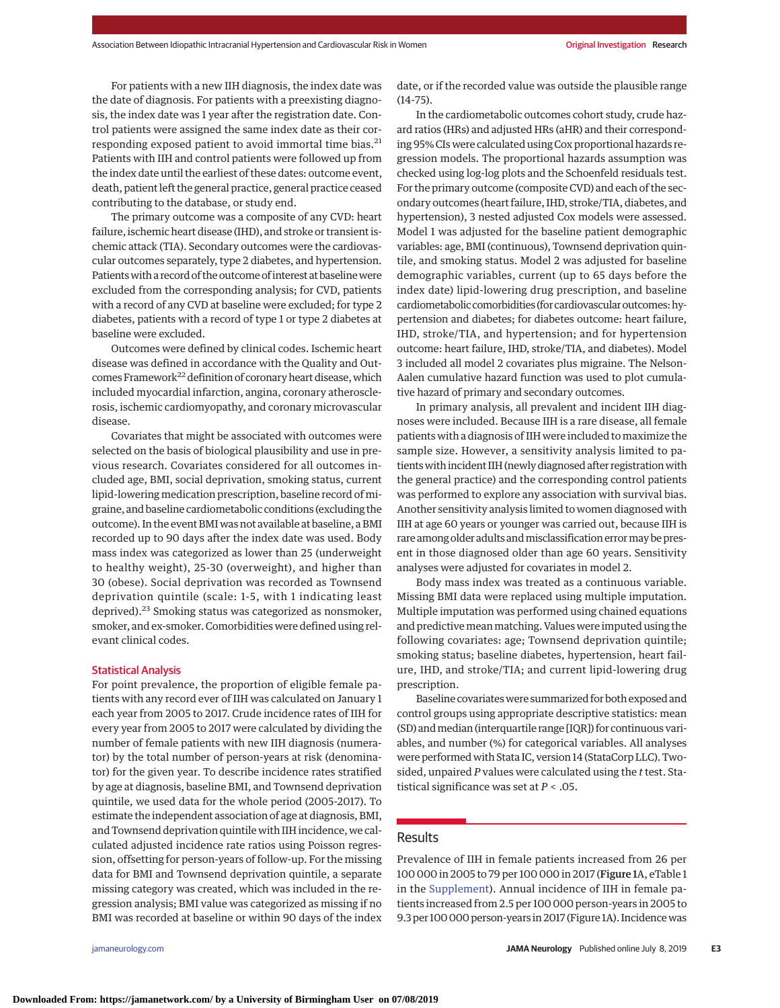For patients with a new IIH diagnosis, the index date was the date of diagnosis. For patients with a preexisting diagnosis, the index date was 1 year after the registration date. Control patients were assigned the same index date as their corresponding exposed patient to avoid immortal time bias.<sup>21</sup> Patients with IIH and control patients were followed up from the index date until the earliest of these dates: outcome event, death, patient left the general practice, general practice ceased contributing to the database, or study end.

The primary outcome was a composite of any CVD: heart failure, ischemic heart disease (IHD), and stroke or transient ischemic attack (TIA). Secondary outcomes were the cardiovascular outcomes separately, type 2 diabetes, and hypertension. Patients with a record of the outcome of interest at baseline were excluded from the corresponding analysis; for CVD, patients with a record of any CVD at baseline were excluded; for type 2 diabetes, patients with a record of type 1 or type 2 diabetes at baseline were excluded.

Outcomes were defined by clinical codes. Ischemic heart disease was defined in accordance with the Quality and Outcomes Framework<sup>22</sup> definition of coronary heart disease, which included myocardial infarction, angina, coronary atherosclerosis, ischemic cardiomyopathy, and coronary microvascular disease.

Covariates that might be associated with outcomes were selected on the basis of biological plausibility and use in previous research. Covariates considered for all outcomes included age, BMI, social deprivation, smoking status, current lipid-lowering medication prescription, baseline record of migraine, and baseline cardiometabolic conditions (excluding the outcome). In the event BMI was not available at baseline, a BMI recorded up to 90 days after the index date was used. Body mass index was categorized as lower than 25 (underweight to healthy weight), 25-30 (overweight), and higher than 30 (obese). Social deprivation was recorded as Townsend deprivation quintile (scale: 1-5, with 1 indicating least deprived).<sup>23</sup> Smoking status was categorized as nonsmoker, smoker, and ex-smoker. Comorbidities were defined using relevant clinical codes.

## Statistical Analysis

For point prevalence, the proportion of eligible female patients with any record ever of IIH was calculated on January 1 each year from 2005 to 2017. Crude incidence rates of IIH for every year from 2005 to 2017 were calculated by dividing the number of female patients with new IIH diagnosis (numerator) by the total number of person-years at risk (denominator) for the given year. To describe incidence rates stratified by age at diagnosis, baseline BMI, and Townsend deprivation quintile, we used data for the whole period (2005-2017). To estimate the independent association of age at diagnosis, BMI, and Townsend deprivation quintile with IIH incidence, we calculated adjusted incidence rate ratios using Poisson regression, offsetting for person-years of follow-up. For the missing data for BMI and Townsend deprivation quintile, a separate missing category was created, which was included in the regression analysis; BMI value was categorized as missing if no BMI was recorded at baseline or within 90 days of the index date, or if the recorded value was outside the plausible range (14-75).

In the cardiometabolic outcomes cohort study, crude hazard ratios (HRs) and adjusted HRs (aHR) and their corresponding 95% CIs were calculated using Cox proportional hazards regression models. The proportional hazards assumption was checked using log-log plots and the Schoenfeld residuals test. For the primary outcome (composite CVD) and each of the secondary outcomes (heart failure, IHD, stroke/TIA, diabetes, and hypertension), 3 nested adjusted Cox models were assessed. Model 1 was adjusted for the baseline patient demographic variables: age, BMI (continuous), Townsend deprivation quintile, and smoking status. Model 2 was adjusted for baseline demographic variables, current (up to 65 days before the index date) lipid-lowering drug prescription, and baseline cardiometabolic comorbidities (for cardiovascular outcomes: hypertension and diabetes; for diabetes outcome: heart failure, IHD, stroke/TIA, and hypertension; and for hypertension outcome: heart failure, IHD, stroke/TIA, and diabetes). Model 3 included all model 2 covariates plus migraine. The Nelson-Aalen cumulative hazard function was used to plot cumulative hazard of primary and secondary outcomes.

In primary analysis, all prevalent and incident IIH diagnoses were included. Because IIH is a rare disease, all female patients with a diagnosis of IIH were included to maximize the sample size. However, a sensitivity analysis limited to patients with incident IIH (newly diagnosed after registration with the general practice) and the corresponding control patients was performed to explore any association with survival bias. Another sensitivity analysis limited to women diagnosed with IIH at age 60 years or younger was carried out, because IIH is rare among older adults and misclassification error may be present in those diagnosed older than age 60 years. Sensitivity analyses were adjusted for covariates in model 2.

Body mass index was treated as a continuous variable. Missing BMI data were replaced using multiple imputation. Multiple imputation was performed using chained equations and predictive mean matching. Values were imputed using the following covariates: age; Townsend deprivation quintile; smoking status; baseline diabetes, hypertension, heart failure, IHD, and stroke/TIA; and current lipid-lowering drug prescription.

Baseline covariates were summarized for both exposed and control groups using appropriate descriptive statistics: mean (SD) and median (interquartile range [IQR]) for continuous variables, and number (%) for categorical variables. All analyses were performed with Stata IC, version 14 (StataCorp LLC). Twosided, unpaired *P* values were calculated using the *t* test. Statistical significance was set at *P* < .05.

#### Results

Prevalence of IIH in female patients increased from 26 per 100 000 in 2005 to 79 per 100 000 in 2017 (Figure 1A, eTable 1 in the [Supplement\)](https://jama.jamanetwork.com/article.aspx?doi=10.1001/jamaneurol.2019.1812&utm_campaign=articlePDF%26utm_medium=articlePDFlink%26utm_source=articlePDF%26utm_content=jamaneurol.2019.1812). Annual incidence of IIH in female patients increased from 2.5 per 100 000 person-years in 2005 to 9.3 per 100 000 person-years in 2017 (Figure 1A). Incidencewas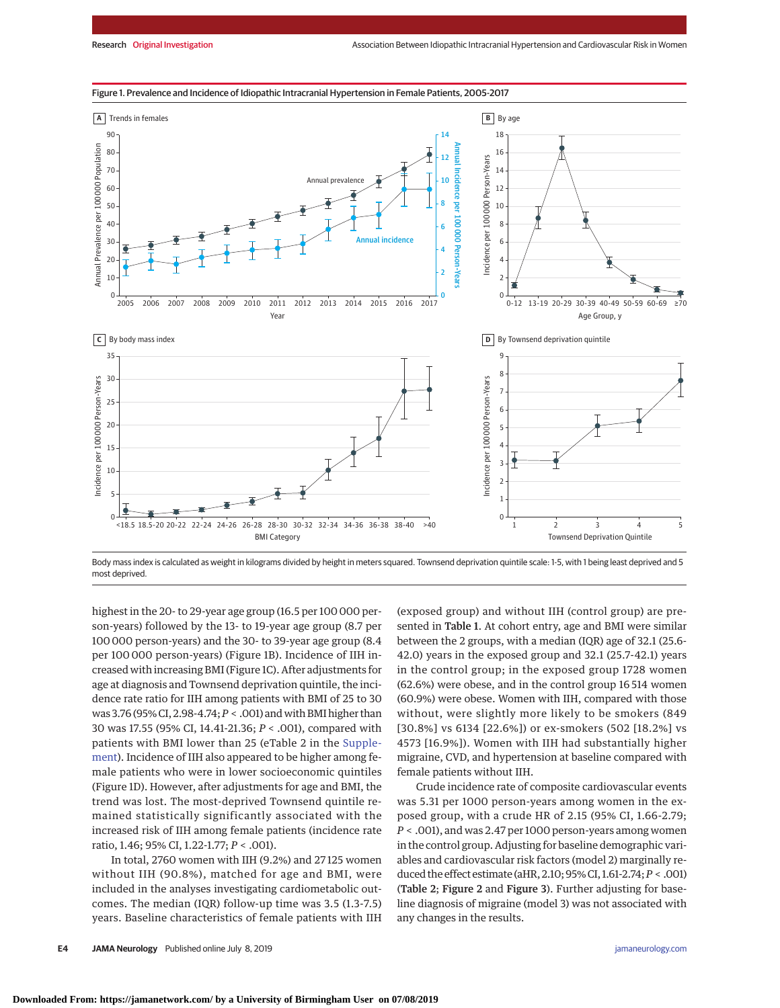

Figure 1. Prevalence and Incidence of Idiopathic Intracranial Hypertension in Female Patients, 2005-2017

Body mass index is calculated as weight in kilograms divided by height in meters squared. Townsend deprivation quintile scale: 1-5, with 1 being least deprived and 5 most deprived.

highest in the 20- to 29-year age group (16.5 per 100 000 person-years) followed by the 13- to 19-year age group (8.7 per 100 000 person-years) and the 30- to 39-year age group (8.4 per 100 000 person-years) (Figure 1B). Incidence of IIH increased with increasing BMI (Figure 1C). After adjustments for age at diagnosis and Townsend deprivation quintile, the incidence rate ratio for IIH among patients with BMI of 25 to 30 was 3.76 (95% CI, 2.98-4.74;*P* < .001) and with BMI higher than 30 was 17.55 (95% CI, 14.41-21.36; *P* < .001), compared with patients with BMI lower than 25 (eTable 2 in the [Supple](https://jama.jamanetwork.com/article.aspx?doi=10.1001/jamaneurol.2019.1812&utm_campaign=articlePDF%26utm_medium=articlePDFlink%26utm_source=articlePDF%26utm_content=jamaneurol.2019.1812)[ment\)](https://jama.jamanetwork.com/article.aspx?doi=10.1001/jamaneurol.2019.1812&utm_campaign=articlePDF%26utm_medium=articlePDFlink%26utm_source=articlePDF%26utm_content=jamaneurol.2019.1812). Incidence of IIH also appeared to be higher among female patients who were in lower socioeconomic quintiles (Figure 1D). However, after adjustments for age and BMI, the trend was lost. The most-deprived Townsend quintile remained statistically significantly associated with the increased risk of IIH among female patients (incidence rate ratio, 1.46; 95% CI, 1.22-1.77; *P* < .001).

In total, 2760 women with IIH (9.2%) and 27 125 women without IIH (90.8%), matched for age and BMI, were included in the analyses investigating cardiometabolic outcomes. The median (IQR) follow-up time was 3.5 (1.3-7.5) years. Baseline characteristics of female patients with IIH (exposed group) and without IIH (control group) are presented in Table 1. At cohort entry, age and BMI were similar between the 2 groups, with a median (IQR) age of 32.1 (25.6- 42.0) years in the exposed group and 32.1 (25.7-42.1) years in the control group; in the exposed group 1728 women (62.6%) were obese, and in the control group 16 514 women (60.9%) were obese. Women with IIH, compared with those without, were slightly more likely to be smokers (849 [30.8%] vs 6134 [22.6%]) or ex-smokers (502 [18.2%] vs 4573 [16.9%]). Women with IIH had substantially higher migraine, CVD, and hypertension at baseline compared with female patients without IIH.

Crude incidence rate of composite cardiovascular events was 5.31 per 1000 person-years among women in the exposed group, with a crude HR of 2.15 (95% CI, 1.66-2.79; *P* < .001), and was 2.47 per 1000 person-years among women in the control group. Adjusting for baseline demographic variables and cardiovascular risk factors (model 2) marginally reduced the effect estimate (aHR, 2.10; 95% CI, 1.61-2.74;*P* < .001) (Table 2; Figure 2 and Figure 3). Further adjusting for baseline diagnosis of migraine (model 3) was not associated with any changes in the results.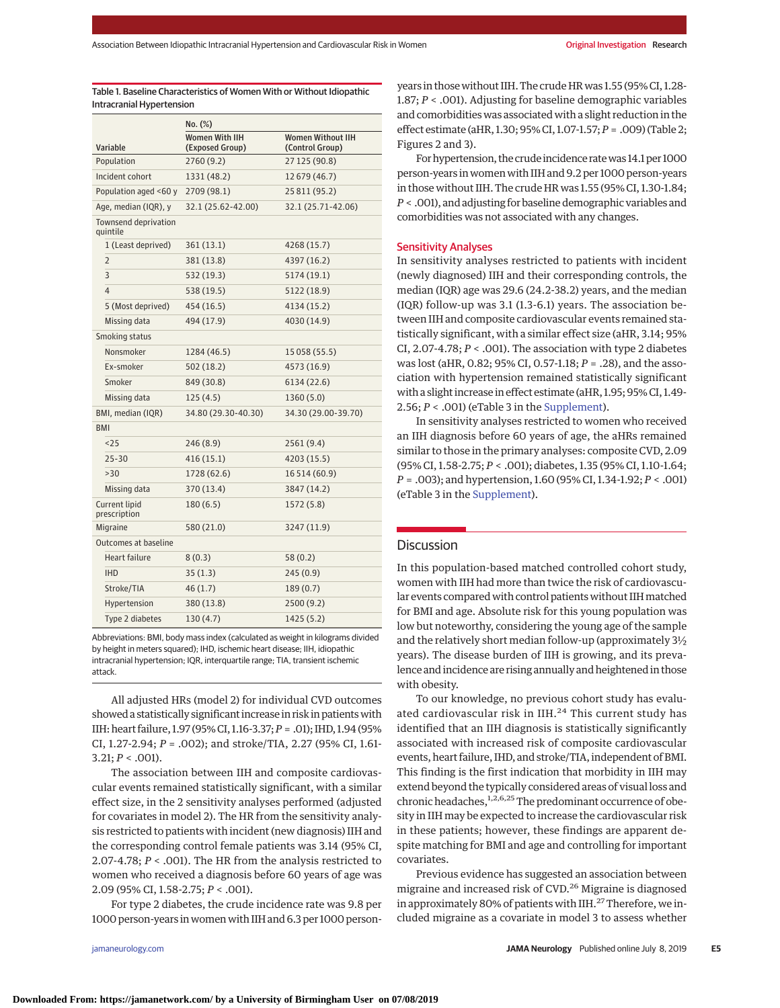Table 1. Baseline Characteristics of Women With or Without Idiopathic

|                                  | No. (%)                                  |                                             |  |  |
|----------------------------------|------------------------------------------|---------------------------------------------|--|--|
| Variable                         | <b>Women With IIH</b><br>(Exposed Group) | <b>Women Without IIH</b><br>(Control Group) |  |  |
| Population                       | 2760 (9.2)                               | 27 125 (90.8)                               |  |  |
| Incident cohort                  | 1331 (48.2)                              | 12 679 (46.7)                               |  |  |
| Population aged <60 y            | 2709 (98.1)                              | 25 811 (95.2)                               |  |  |
| Age, median (IQR), y             | 32.1 (25.62-42.00)                       | 32.1 (25.71-42.06)                          |  |  |
| Townsend deprivation<br>quintile |                                          |                                             |  |  |
| 1 (Least deprived)               | 361 (13.1)                               | 4268 (15.7)                                 |  |  |
| $\overline{2}$                   | 381 (13.8)                               | 4397 (16.2)                                 |  |  |
| 3                                | 532 (19.3)                               | 5174 (19.1)                                 |  |  |
| $\overline{4}$                   | 538 (19.5)                               | 5122 (18.9)                                 |  |  |
| 5 (Most deprived)                | 454 (16.5)                               | 4134 (15.2)                                 |  |  |
| Missing data                     | 494 (17.9)                               | 4030 (14.9)                                 |  |  |
| Smoking status                   |                                          |                                             |  |  |
| Nonsmoker                        | 1284 (46.5)                              | 15 058 (55.5)                               |  |  |
| Ex-smoker                        | 502 (18.2)                               | 4573 (16.9)                                 |  |  |
| Smoker                           | 849 (30.8)                               | 6134 (22.6)                                 |  |  |
| Missing data                     | 125(4.5)                                 | 1360(5.0)                                   |  |  |
| BMI, median (IQR)                | 34.80 (29.30-40.30)                      | 34.30 (29.00-39.70)                         |  |  |
| <b>BMI</b>                       |                                          |                                             |  |  |
| 25                               | 246 (8.9)                                | 2561 (9.4)                                  |  |  |
| 25-30                            | 416 (15.1)                               | 4203 (15.5)                                 |  |  |
| >30                              | 1728 (62.6)                              | 16 5 14 (60.9)                              |  |  |
| Missing data                     | 370 (13.4)                               | 3847 (14.2)                                 |  |  |
| Current lipid<br>prescription    | 180 (6.5)                                | 1572 (5.8)                                  |  |  |
| Migraine                         | 580 (21.0)                               | 3247 (11.9)                                 |  |  |
| Outcomes at baseline             |                                          |                                             |  |  |
| Heart failure                    | 8(0.3)                                   | 58(0.2)                                     |  |  |
| <b>IHD</b>                       | 35(1.3)                                  | 245 (0.9)                                   |  |  |
| Stroke/TIA                       | 46 (1.7)                                 | 189(0.7)                                    |  |  |
| Hypertension                     | 380 (13.8)                               | 2500 (9.2)                                  |  |  |
| Type 2 diabetes                  | 130 (4.7)                                | 1425 (5.2)                                  |  |  |

Abbreviations: BMI, body mass index (calculated as weight in kilograms divided by height in meters squared); IHD, ischemic heart disease; IIH, idiopathic intracranial hypertension; IQR, interquartile range; TIA, transient ischemic attack.

All adjusted HRs (model 2) for individual CVD outcomes showed a statistically significant increase in risk in patients with IIH: heart failure, 1.97 (95% CI, 1.16-3.37;*P* = .01); IHD, 1.94 (95% CI, 1.27-2.94; *P* = .002); and stroke/TIA, 2.27 (95% CI, 1.61-  $3.21; P < .001$ ).

The association between IIH and composite cardiovascular events remained statistically significant, with a similar effect size, in the 2 sensitivity analyses performed (adjusted for covariates in model 2). The HR from the sensitivity analysis restricted to patients with incident (new diagnosis) IIH and the corresponding control female patients was 3.14 (95% CI, 2.07-4.78; *P* < .001). The HR from the analysis restricted to women who received a diagnosis before 60 years of age was 2.09 (95% CI, 1.58-2.75; *P* < .001).

For type 2 diabetes, the crude incidence rate was 9.8 per 1000 person-years in women with IIH and 6.3 per 1000 person-

years in those without IIH. The crude HR was 1.55 (95% CI, 1.28- 1.87; *P* < .001). Adjusting for baseline demographic variables and comorbidities was associated with a slight reduction in the effect estimate (aHR, 1.30; 95% CI, 1.07-1.57;*P* = .009) (Table 2; Figures 2 and 3).

For hypertension, the crude incidence rate was 14.1 per 1000 person-years in women with IIH and 9.2 per 1000 person-years in those without IIH. The crude HR was 1.55 (95% CI, 1.30-1.84; *P* < .001), and adjusting for baseline demographic variables and comorbidities was not associated with any changes.

#### Sensitivity Analyses

In sensitivity analyses restricted to patients with incident (newly diagnosed) IIH and their corresponding controls, the median (IQR) age was 29.6 (24.2-38.2) years, and the median (IQR) follow-up was 3.1 (1.3-6.1) years. The association between IIH and composite cardiovascular events remained statistically significant, with a similar effect size (aHR, 3.14; 95% CI, 2.07-4.78; *P* < .001). The association with type 2 diabetes was lost (aHR, 0.82; 95% CI, 0.57-1.18; *P* = .28), and the association with hypertension remained statistically significant with a slight increase in effect estimate (aHR, 1.95; 95% CI, 1.49- 2.56; *P* < .001) (eTable 3 in the [Supplement\)](https://jama.jamanetwork.com/article.aspx?doi=10.1001/jamaneurol.2019.1812&utm_campaign=articlePDF%26utm_medium=articlePDFlink%26utm_source=articlePDF%26utm_content=jamaneurol.2019.1812).

In sensitivity analyses restricted to women who received an IIH diagnosis before 60 years of age, the aHRs remained similar to those in the primary analyses: composite CVD, 2.09 (95% CI, 1.58-2.75; *P* < .001); diabetes, 1.35 (95% CI, 1.10-1.64; *P* = .003); and hypertension, 1.60 (95% CI, 1.34-1.92; *P* < .001) (eTable 3 in the [Supplement\)](https://jama.jamanetwork.com/article.aspx?doi=10.1001/jamaneurol.2019.1812&utm_campaign=articlePDF%26utm_medium=articlePDFlink%26utm_source=articlePDF%26utm_content=jamaneurol.2019.1812).

# Discussion

In this population-based matched controlled cohort study, women with IIH had more than twice the risk of cardiovascular events compared with control patients without IIH matched for BMI and age. Absolute risk for this young population was low but noteworthy, considering the young age of the sample and the relatively short median follow-up (approximately 3½ years). The disease burden of IIH is growing, and its prevalence and incidence are rising annually and heightened in those with obesity.

To our knowledge, no previous cohort study has evaluated cardiovascular risk in IIH.<sup>24</sup> This current study has identified that an IIH diagnosis is statistically significantly associated with increased risk of composite cardiovascular events, heart failure, IHD, and stroke/TIA, independent of BMI. This finding is the first indication that morbidity in IIH may extend beyond the typically considered areas of visual loss and chronic headaches,<sup>1,2,6,25</sup>The predominant occurrence of obesity in IIH may be expected to increase the cardiovascular risk in these patients; however, these findings are apparent despite matching for BMI and age and controlling for important covariates.

Previous evidence has suggested an association between migraine and increased risk of CVD.<sup>26</sup> Migraine is diagnosed in approximately 80% of patients with IIH. $^{27}$  Therefore, we included migraine as a covariate in model 3 to assess whether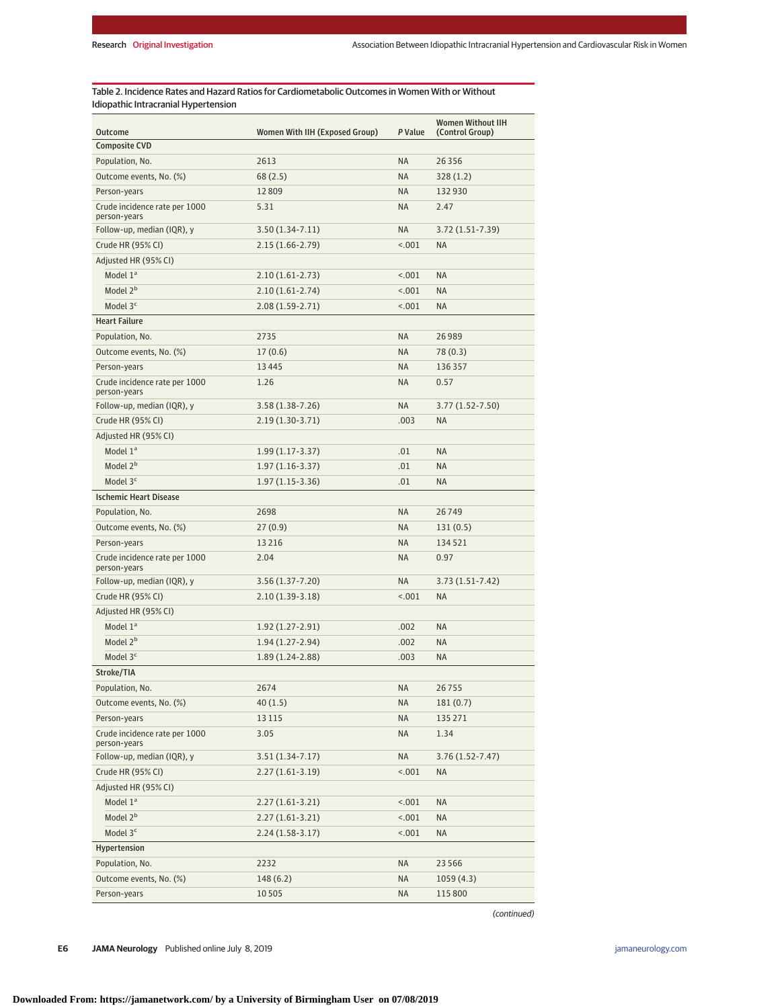Table 2. Incidence Rates and Hazard Ratios for Cardiometabolic Outcomes in Women With or Without Idiopathic Intracranial Hypertension

| <b>Outcome</b>                                | Women With IIH (Exposed Group) | P Value   | <b>Women Without IIH</b><br>(Control Group) |
|-----------------------------------------------|--------------------------------|-----------|---------------------------------------------|
| <b>Composite CVD</b>                          |                                |           |                                             |
| Population, No.                               | 2613                           | <b>NA</b> | 26 3 5 6                                    |
| Outcome events, No. (%)                       | 68 (2.5)                       | <b>NA</b> | 328(1.2)                                    |
| Person-years                                  | 12809                          | <b>NA</b> | 132930                                      |
| Crude incidence rate per 1000<br>person-years | 5.31                           | <b>NA</b> | 2.47                                        |
| Follow-up, median (IQR), y                    | $3.50(1.34-7.11)$              | <b>NA</b> | $3.72(1.51 - 7.39)$                         |
| Crude HR (95% CI)                             | $2.15(1.66 - 2.79)$            | < .001    | <b>NA</b>                                   |
| Adjusted HR (95% CI)                          |                                |           |                                             |
| Model 1ª                                      | $2.10(1.61-2.73)$              | 15.001    | <b>NA</b>                                   |
| Model 2 <sup>b</sup>                          | $2.10(1.61-2.74)$              | 15.001    | <b>NA</b>                                   |
| Model $3c$                                    | $2.08(1.59-2.71)$              | 15.001    | <b>NA</b>                                   |
| <b>Heart Failure</b>                          |                                |           |                                             |
| Population, No.                               | 2735                           | <b>NA</b> | 26989                                       |
| Outcome events, No. (%)                       | 17(0.6)                        | <b>NA</b> | 78 (0.3)                                    |
| Person-years                                  | 13445                          | <b>NA</b> | 136357                                      |
| Crude incidence rate per 1000<br>person-years | 1.26                           | <b>NA</b> | 0.57                                        |
| Follow-up, median (IQR), y                    | $3.58(1.38-7.26)$              | <b>NA</b> | $3.77(1.52 - 7.50)$                         |
| Crude HR (95% CI)                             | $2.19(1.30-3.71)$              | .003      | NA.                                         |
| Adjusted HR (95% CI)                          |                                |           |                                             |
| Model $1a$                                    | $1.99(1.17-3.37)$              | .01       | ΝA                                          |
| Model 2 <sup>b</sup>                          | $1.97(1.16-3.37)$              | .01       | <b>NA</b>                                   |
| Model $3c$                                    | $1.97(1.15-3.36)$              | .01       | ΝA                                          |
| <b>Ischemic Heart Disease</b>                 |                                |           |                                             |
| Population, No.                               | 2698                           | <b>NA</b> | 26749                                       |
| Outcome events, No. (%)                       | 27(0.9)                        | <b>NA</b> | 131(0.5)                                    |
| Person-years                                  | 13216                          | <b>NA</b> | 134521                                      |
| Crude incidence rate per 1000<br>person-years | 2.04                           | <b>NA</b> | 0.97                                        |
| Follow-up, median (IQR), y                    | $3.56(1.37 - 7.20)$            | <b>NA</b> | $3.73(1.51 - 7.42)$                         |
| Crude HR (95% CI)                             | $2.10(1.39-3.18)$              | 15.001    | <b>NA</b>                                   |
| Adjusted HR (95% CI)                          |                                |           |                                             |
| Model $1a$                                    | $1.92(1.27-2.91)$              | .002      | <b>NA</b>                                   |
| Model 2 <sup>b</sup>                          | $1.94(1.27-2.94)$              | .002      | <b>NA</b>                                   |
| Model $3c$                                    | $1.89(1.24-2.88)$              | .003      | ΝA                                          |
| Stroke/TIA                                    |                                |           |                                             |
| Population, No.                               | 2674                           | <b>NA</b> | 26755                                       |
| Outcome events, No. (%)                       | 40(1.5)                        | NA        | 181 (0.7)                                   |
| Person-years                                  | 13 1 15                        | <b>NA</b> | 135 271                                     |
| Crude incidence rate per 1000<br>person-years | 3.05                           | <b>NA</b> | 1.34                                        |
| Follow-up, median (IQR), y                    | $3.51(1.34-7.17)$              | NA        | $3.76(1.52 - 7.47)$                         |
| Crude HR (95% CI)                             | $2.27(1.61-3.19)$              | 1001      | NA                                          |
| Adjusted HR (95% CI)                          |                                |           |                                             |
| Model 1 <sup>a</sup>                          | $2.27(1.61-3.21)$              | 18.001    | NA                                          |
| Model 2 <sup>b</sup>                          | $2.27(1.61-3.21)$              | 1001      | NA                                          |
| Model 3 <sup>c</sup>                          | $2.24(1.58-3.17)$              | 1001      | NA                                          |
| Hypertension                                  |                                |           |                                             |
| Population, No.                               | 2232                           | <b>NA</b> | 23 5 6 6                                    |
| Outcome events, No. (%)                       | 148(6.2)                       | <b>NA</b> | 1059(4.3)                                   |
| Person-years                                  | 10505                          | <b>NA</b> | 115800                                      |

(continued)

**E6 JAMA Neurology** Published online July 8, 2019 **(Reprinted)** [jamaneurology.com](http://www.jamaneurology.com/?utm_campaign=articlePDF%26utm_medium=articlePDFlink%26utm_source=articlePDF%26utm_content=jamaneurol.2019.1812)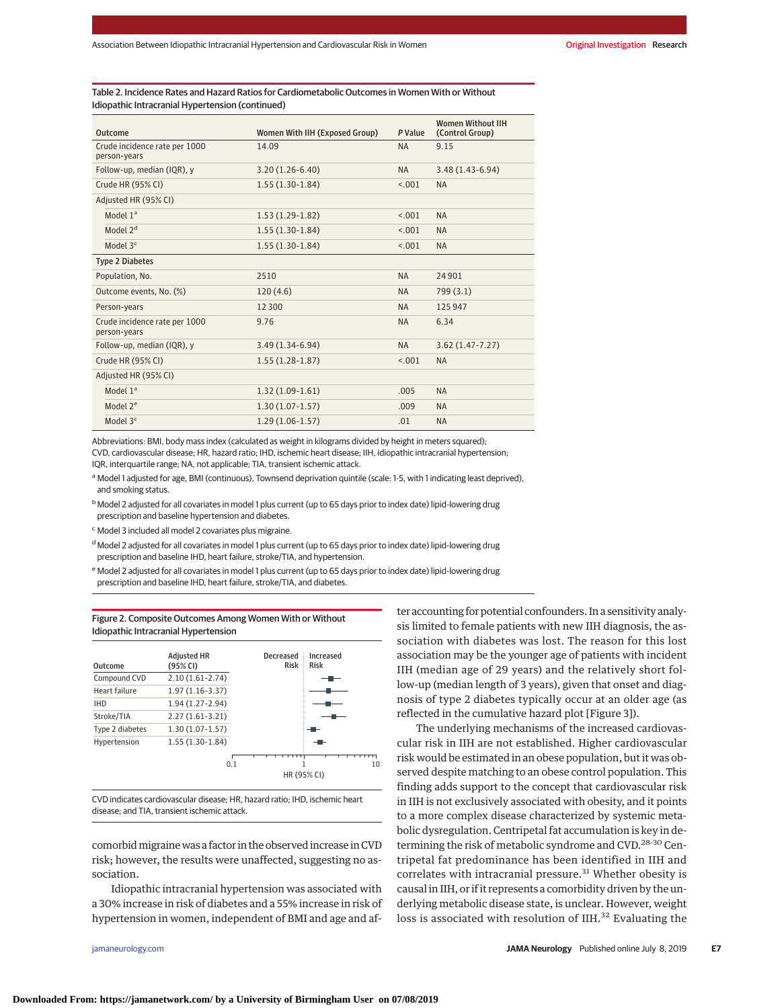#### Table 2. Incidence Rates and Hazard Ratios for Cardiometabolic Outcomes in Women With or Without Idiopathic Intracranial Hypertension (continued)

| Outcome                                       | Women With IIH (Exposed Group) | P Value   | <b>Women Without IIH</b><br>(Control Group) |
|-----------------------------------------------|--------------------------------|-----------|---------------------------------------------|
| Crude incidence rate per 1000<br>person-years | 14.09                          | <b>NA</b> | 9.15                                        |
| Follow-up, median (IQR), y                    | $3.20(1.26-6.40)$              | <b>NA</b> | $3.48(1.43-6.94)$                           |
| Crude HR (95% CI)                             | $1.55(1.30-1.84)$              | < .001    | <b>NA</b>                                   |
| Adiusted HR (95% CI)                          |                                |           |                                             |
| Model $1a$                                    | $1.53(1.29-1.82)$              | < 0.01    | <b>NA</b>                                   |
| Model 2 <sup>d</sup>                          | $1.55(1.30-1.84)$              | < 0.01    | <b>NA</b>                                   |
| Model $3c$                                    | $1.55(1.30-1.84)$              | < .001    | <b>NA</b>                                   |
| <b>Type 2 Diabetes</b>                        |                                |           |                                             |
| Population, No.                               | 2510                           | <b>NA</b> | 24 901                                      |
| Outcome events, No. (%)                       | 120(4.6)                       | <b>NA</b> | 799(3.1)                                    |
| Person-years                                  | 12 300                         | <b>NA</b> | 125947                                      |
| Crude incidence rate per 1000<br>person-years | 9.76                           | <b>NA</b> | 6.34                                        |
| Follow-up, median (IQR), y                    | $3.49(1.34-6.94)$              | <b>NA</b> | $3.62(1.47 - 7.27)$                         |
| Crude HR (95% CI)                             | $1.55(1.28-1.87)$              | < .001    | <b>NA</b>                                   |
| Adjusted HR (95% CI)                          |                                |           |                                             |
| Model 1 <sup>a</sup>                          | $1.32(1.09-1.61)$              | .005      | <b>NA</b>                                   |
| Model 2 <sup>e</sup>                          | $1.30(1.07-1.57)$              | .009      | <b>NA</b>                                   |
| Model $3c$                                    | $1.29(1.06-1.57)$              | .01       | <b>NA</b>                                   |

Abbreviations: BMI, body mass index (calculated as weight in kilograms divided by height in meters squared); CVD, cardiovascular disease; HR, hazard ratio; IHD, ischemic heart disease; IIH, idiopathic intracranial hypertension; IQR, interquartile range; NA, not applicable; TIA, transient ischemic attack.

- a Model 1 adjusted for age, BMI (continuous), Townsend deprivation quintile (scale: 1-5, with 1 indicating least deprived), and smoking status.
- <sup>b</sup> Model 2 adjusted for all covariates in model 1 plus current (up to 65 days prior to index date) lipid-lowering drug prescription and baseline hypertension and diabetes.
- <sup>c</sup> Model 3 included all model 2 covariates plus migraine.
- <sup>d</sup> Model 2 adjusted for all covariates in model 1 plus current (up to 65 days prior to index date) lipid-lowering drug prescription and baseline IHD, heart failure, stroke/TIA, and hypertension.
- <sup>e</sup> Model 2 adjusted for all covariates in model 1 plus current (up to 65 days prior to index date) lipid-lowering drug prescription and baseline IHD, heart failure, stroke/TIA, and diabetes.



CVD indicates cardiovascular disease; HR, hazard ratio; IHD, ischemic heart disease; and TIA, transient ischemic attack.

comorbid migraine was a factor in the observed increase in CVD risk; however, the results were unaffected, suggesting no association.

Idiopathic intracranial hypertension was associated with a 30% increase in risk of diabetes and a 55% increase in risk of hypertension in women, independent of BMI and age and af-

ter accounting for potential confounders. In a sensitivity analysis limited to female patients with new IIH diagnosis, the association with diabetes was lost. The reason for this lost association may be the younger age of patients with incident IIH (median age of 29 years) and the relatively short follow-up (median length of 3 years), given that onset and diagnosis of type 2 diabetes typically occur at an older age (as reflected in the cumulative hazard plot [Figure 3]).

The underlying mechanisms of the increased cardiovascular risk in IIH are not established. Higher cardiovascular risk would be estimated in an obese population, but it was observed despite matching to an obese control population. This finding adds support to the concept that cardiovascular risk in IIH is not exclusively associated with obesity, and it points to a more complex disease characterized by systemic metabolic dysregulation. Centripetal fat accumulation is key in determining the risk of metabolic syndrome and CVD.<sup>28-30</sup> Centripetal fat predominance has been identified in IIH and correlates with intracranial pressure.<sup>31</sup> Whether obesity is causal in IIH, or if it represents a comorbidity driven by the underlying metabolic disease state, is unclear. However, weight loss is associated with resolution of IIH.<sup>32</sup> Evaluating the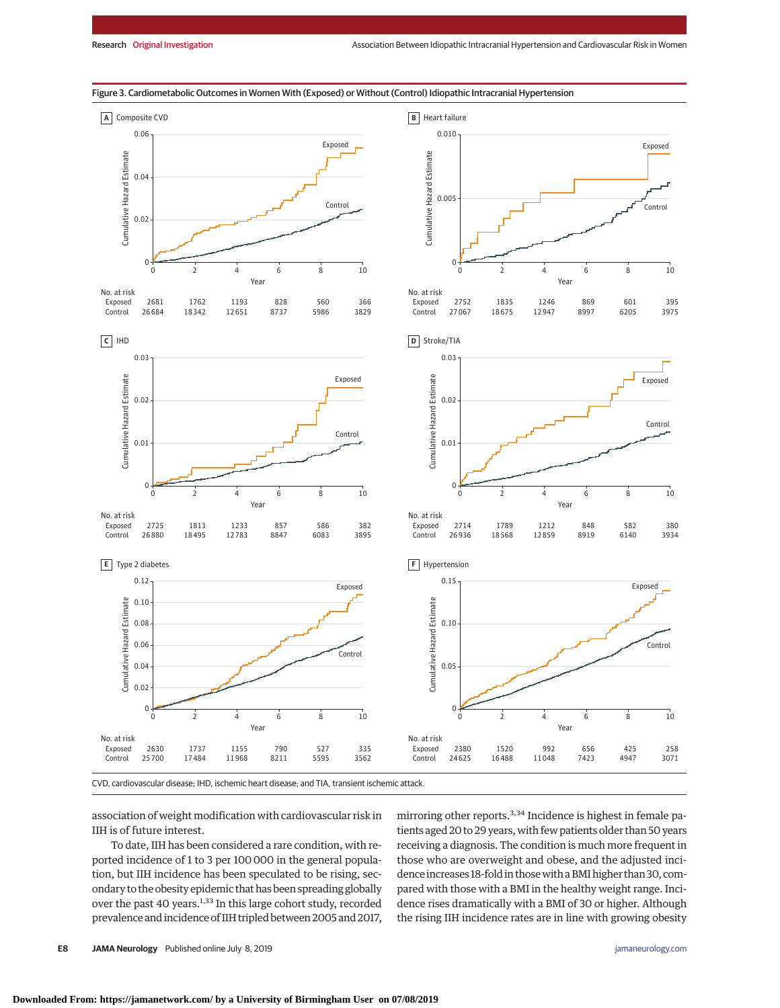

## Figure 3. Cardiometabolic Outcomes in Women With (Exposed) or Without (Control) Idiopathic Intracranial Hypertension

CVD, cardiovascular disease; IHD, ischemic heart disease; and TIA, transient ischemic attack.

association of weight modification with cardiovascular risk in IIH is of future interest.

To date, IIH has been considered a rare condition, with reported incidence of 1 to 3 per 100 000 in the general population, but IIH incidence has been speculated to be rising, secondary to the obesity epidemic that has been spreading globally over the past 40 years.1,33 In this large cohort study, recorded prevalence and incidence of IIH tripled between 2005 and 2017, mirroring other reports.<sup>3,34</sup> Incidence is highest in female patients aged 20 to 29 years, with few patients older than 50 years receiving a diagnosis. The condition is much more frequent in those who are overweight and obese, and the adjusted incidence increases 18-fold in thosewith a BMI higher than 30, compared with those with a BMI in the healthy weight range. Incidence rises dramatically with a BMI of 30 or higher. Although the rising IIH incidence rates are in line with growing obesity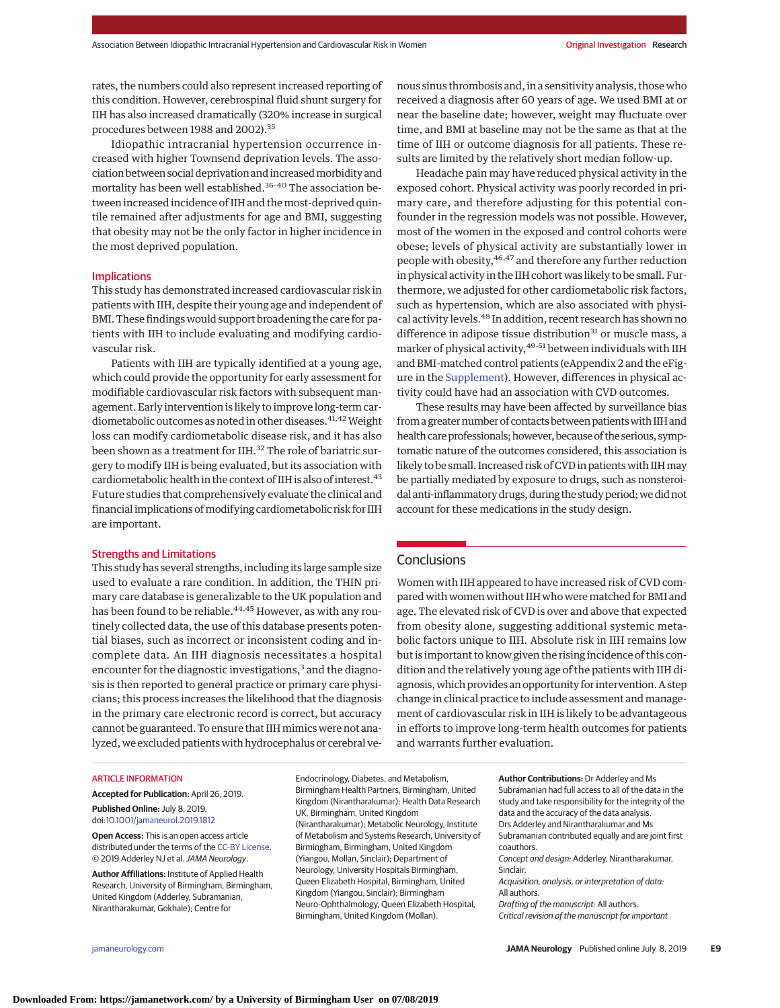rates, the numbers could also represent increased reporting of this condition. However, cerebrospinal fluid shunt surgery for IIH has also increased dramatically (320% increase in surgical procedures between 1988 and 2002).35

Idiopathic intracranial hypertension occurrence increased with higher Townsend deprivation levels. The association between social deprivation and increased morbidity and mortality has been well established.<sup>36-40</sup> The association between increased incidence of IIH and the most-deprived quintile remained after adjustments for age and BMI, suggesting that obesity may not be the only factor in higher incidence in the most deprived population.

#### **Implications**

This study has demonstrated increased cardiovascular risk in patients with IIH, despite their young age and independent of BMI. These findings would support broadening the care for patients with IIH to include evaluating and modifying cardiovascular risk.

Patients with IIH are typically identified at a young age, which could provide the opportunity for early assessment for modifiable cardiovascular risk factors with subsequent management. Early intervention is likely to improve long-term cardiometabolic outcomes as noted in other diseases.  $41,42$  Weight loss can modify cardiometabolic disease risk, and it has also been shown as a treatment for IIH.<sup>32</sup> The role of bariatric surgery to modify IIH is being evaluated, but its association with cardiometabolic health in the context of IIH is also of interest.<sup>43</sup> Future studies that comprehensively evaluate the clinical and financial implications of modifying cardiometabolic risk for IIH are important.

#### Strengths and Limitations

This study has several strengths, including its large sample size used to evaluate a rare condition. In addition, the THIN primary care database is generalizable to the UK population and has been found to be reliable.<sup>44,45</sup> However, as with any routinely collected data, the use of this database presents potential biases, such as incorrect or inconsistent coding and incomplete data. An IIH diagnosis necessitates a hospital encounter for the diagnostic investigations,<sup>3</sup> and the diagnosis is then reported to general practice or primary care physicians; this process increases the likelihood that the diagnosis in the primary care electronic record is correct, but accuracy cannot be guaranteed. To ensure that IIH mimics were not analyzed, we excluded patients with hydrocephalus or cerebral venous sinus thrombosis and, in a sensitivity analysis, those who received a diagnosis after 60 years of age. We used BMI at or near the baseline date; however, weight may fluctuate over time, and BMI at baseline may not be the same as that at the time of IIH or outcome diagnosis for all patients. These results are limited by the relatively short median follow-up.

Headache pain may have reduced physical activity in the exposed cohort. Physical activity was poorly recorded in primary care, and therefore adjusting for this potential confounder in the regression models was not possible. However, most of the women in the exposed and control cohorts were obese; levels of physical activity are substantially lower in people with obesity, <sup>46,47</sup> and therefore any further reduction in physical activity in the IIH cohort was likely to be small. Furthermore, we adjusted for other cardiometabolic risk factors, such as hypertension, which are also associated with physical activity levels.<sup>48</sup> In addition, recent research has shown no difference in adipose tissue distribution $31$  or muscle mass, a marker of physical activity, <sup>49-51</sup> between individuals with IIH and BMI-matched control patients (eAppendix 2 and the eFigure in the [Supplement\)](https://jama.jamanetwork.com/article.aspx?doi=10.1001/jamaneurol.2019.1812&utm_campaign=articlePDF%26utm_medium=articlePDFlink%26utm_source=articlePDF%26utm_content=jamaneurol.2019.1812). However, differences in physical activity could have had an association with CVD outcomes.

These results may have been affected by surveillance bias from a greater number of contacts between patientswith IIH and health care professionals; however, because of the serious, symptomatic nature of the outcomes considered, this association is likely to be small. Increased risk of CVD in patients with IIH may be partially mediated by exposure to drugs, such as nonsteroidal anti-inflammatory drugs, during the study period; we did not account for these medications in the study design.

# **Conclusions**

Women with IIH appeared to have increased risk of CVD compared with women without IIH who were matched for BMI and age. The elevated risk of CVD is over and above that expected from obesity alone, suggesting additional systemic metabolic factors unique to IIH. Absolute risk in IIH remains low but is important to know given the rising incidence of this condition and the relatively young age of the patients with IIH diagnosis, which provides an opportunity for intervention. A step change in clinical practice to include assessment and management of cardiovascular risk in IIH is likely to be advantageous in efforts to improve long-term health outcomes for patients and warrants further evaluation.

ARTICLE INFORMATION

**Accepted for Publication:** April 26, 2019. **Published Online:** July 8, 2019. doi[:10.1001/jamaneurol.2019.1812](https://jama.jamanetwork.com/article.aspx?doi=10.1001/jamaneurol.2019.1812&utm_campaign=articlePDF%26utm_medium=articlePDFlink%26utm_source=articlePDF%26utm_content=jamaneurol.2019.1812)

**Open Access:** This is an open access article distributed under the terms of the [CC-BY License.](https://jamanetwork.com/journals/jamaneurology/pages/instructions-for-authors?utm_campaign=articlePDF%26utm_medium=articlePDFlink%26utm_source=articlePDF%26utm_content=jamaneurol.2019.1812#SecOpenAccess) © 2019 Adderley NJ et al.JAMA Neurology.

**Author Affiliations:** Institute of Applied Health Research, University of Birmingham, Birmingham, United Kingdom (Adderley, Subramanian, Nirantharakumar, Gokhale); Centre for

Endocrinology, Diabetes, and Metabolism, Birmingham Health Partners, Birmingham, United Kingdom (Nirantharakumar); Health Data Research UK, Birmingham, United Kingdom (Nirantharakumar); Metabolic Neurology, Institute of Metabolism and Systems Research, University of Birmingham, Birmingham, United Kingdom (Yiangou, Mollan, Sinclair); Department of Neurology, University Hospitals Birmingham, Queen Elizabeth Hospital, Birmingham, United Kingdom (Yiangou, Sinclair); Birmingham Neuro-Ophthalmology, Queen Elizabeth Hospital, Birmingham, United Kingdom (Mollan).

**Author Contributions:** Dr Adderley and Ms Subramanian had full access to all of the data in the study and take responsibility for the integrity of the data and the accuracy of the data analysis. Drs Adderley and Nirantharakumar and Ms Subramanian contributed equally and are joint first coauthors. Concept and design: Adderley, Nirantharakumar, Sinclair. Acquisition, analysis, or interpretation of data:

All authors.

Drafting of the manuscript: All authors. Critical revision of the manuscript for important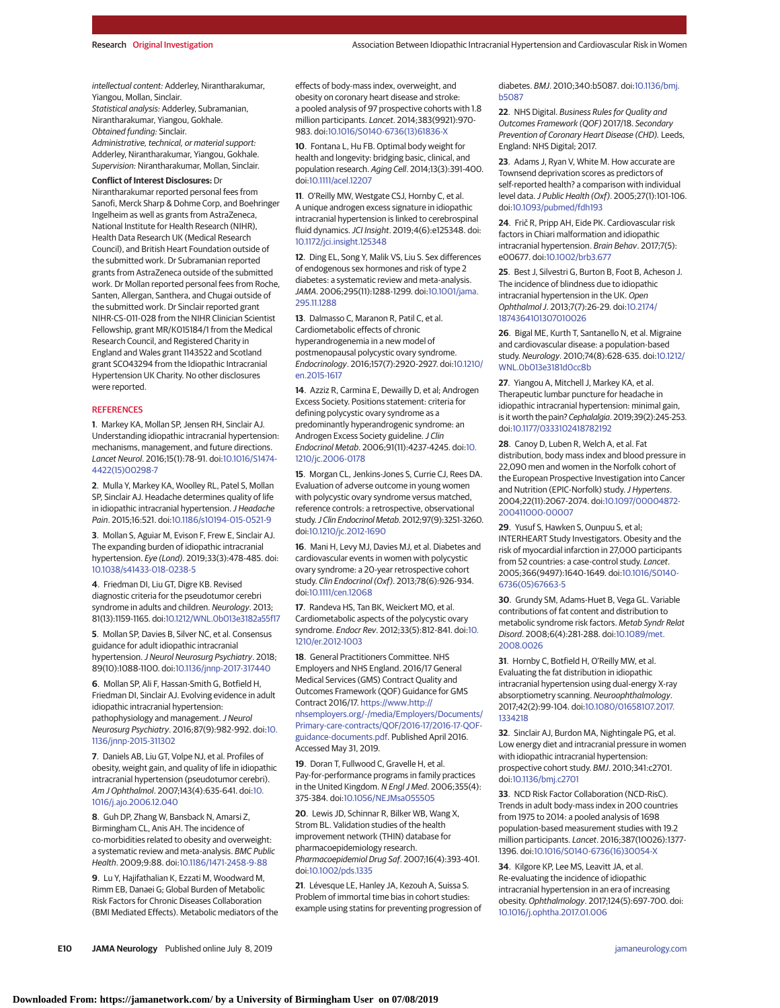intellectual content: Adderley, Nirantharakumar, Yiangou, Mollan, Sinclair. Statistical analysis: Adderley, Subramanian, Nirantharakumar, Yiangou, Gokhale. Obtained funding: Sinclair. Administrative, technical, or material support: Adderley, Nirantharakumar, Yiangou, Gokhale. Supervision: Nirantharakumar, Mollan, Sinclair.

#### **Conflict of Interest Disclosures:** Dr

Nirantharakumar reported personal fees from Sanofi, Merck Sharp & Dohme Corp, and Boehringer Ingelheim as well as grants from AstraZeneca, National Institute for Health Research (NIHR), Health Data Research UK (Medical Research Council), and British Heart Foundation outside of the submitted work. Dr Subramanian reported grants from AstraZeneca outside of the submitted work. Dr Mollan reported personal fees from Roche, Santen, Allergan, Santhera, and Chugai outside of the submitted work. Dr Sinclair reported grant NIHR-CS-011-028 from the NIHR Clinician Scientist Fellowship, grant MR/K015184/1 from the Medical Research Council, and Registered Charity in England and Wales grant 1143522 and Scotland grant SCO43294 from the Idiopathic Intracranial Hypertension UK Charity. No other disclosures were reported.

#### **REFERENCES**

**1**. Markey KA, Mollan SP, Jensen RH, Sinclair AJ. Understanding idiopathic intracranial hypertension: mechanisms, management, and future directions. Lancet Neurol. 2016;15(1):78-91. doi[:10.1016/S1474-](https://dx.doi.org/10.1016/S1474-4422(15)00298-7) [4422\(15\)00298-7](https://dx.doi.org/10.1016/S1474-4422(15)00298-7)

**2**. Mulla Y, Markey KA, Woolley RL, Patel S, Mollan SP, Sinclair AJ. Headache determines quality of life in idiopathic intracranial hypertension. J Headache Pain. 2015;16:521. doi[:10.1186/s10194-015-0521-9](https://dx.doi.org/10.1186/s10194-015-0521-9)

**3**. Mollan S, Aguiar M, Evison F, Frew E, Sinclair AJ. The expanding burden of idiopathic intracranial hypertension. Eye (Lond). 2019;33(3):478-485. doi: [10.1038/s41433-018-0238-5](https://dx.doi.org/10.1038/s41433-018-0238-5)

**4**. Friedman DI, Liu GT, Digre KB. Revised diagnostic criteria for the pseudotumor cerebri syndrome in adults and children. Neurology. 2013; 81(13):1159-1165. doi[:10.1212/WNL.0b013e3182a55f17](https://dx.doi.org/10.1212/WNL.0b013e3182a55f17)

**5**. Mollan SP, Davies B, Silver NC, et al. Consensus guidance for adult idiopathic intracranial hypertension.J Neurol Neurosurg Psychiatry. 2018; 89(10):1088-1100. doi[:10.1136/jnnp-2017-317440](https://dx.doi.org/10.1136/jnnp-2017-317440)

**6**. Mollan SP, Ali F, Hassan-Smith G, Botfield H, Friedman DI, Sinclair AJ. Evolving evidence in adult idiopathic intracranial hypertension: pathophysiology and management. J Neurol Neurosurg Psychiatry. 2016;87(9):982-992. doi[:10.](https://dx.doi.org/10.1136/jnnp-2015-311302) [1136/jnnp-2015-311302](https://dx.doi.org/10.1136/jnnp-2015-311302)

**7**. Daniels AB, Liu GT, Volpe NJ, et al. Profiles of obesity, weight gain, and quality of life in idiopathic intracranial hypertension (pseudotumor cerebri). Am J Ophthalmol. 2007;143(4):635-641. doi[:10.](https://dx.doi.org/10.1016/j.ajo.2006.12.040) [1016/j.ajo.2006.12.040](https://dx.doi.org/10.1016/j.ajo.2006.12.040)

**8**. Guh DP, Zhang W, Bansback N, Amarsi Z, Birmingham CL, Anis AH. The incidence of co-morbidities related to obesity and overweight: a systematic review and meta-analysis. BMC Public Health. 2009;9:88. doi[:10.1186/1471-2458-9-88](https://dx.doi.org/10.1186/1471-2458-9-88)

**9**. Lu Y, Hajifathalian K, Ezzati M, Woodward M, Rimm EB, Danaei G; Global Burden of Metabolic Risk Factors for Chronic Diseases Collaboration (BMI Mediated Effects). Metabolic mediators of the effects of body-mass index, overweight, and obesity on coronary heart disease and stroke: a pooled analysis of 97 prospective cohorts with 1.8 million participants. Lancet. 2014;383(9921):970- 983. doi[:10.1016/S0140-6736\(13\)61836-X](https://dx.doi.org/10.1016/S0140-6736(13)61836-X)

**10**. Fontana L, Hu FB. Optimal body weight for health and longevity: bridging basic, clinical, and population research. Aging Cell. 2014;13(3):391-400. doi[:10.1111/acel.12207](https://dx.doi.org/10.1111/acel.12207)

**11**. O'Reilly MW, Westgate CSJ, Hornby C, et al. A unique androgen excess signature in idiopathic intracranial hypertension is linked to cerebrospinal fluid dynamics.JCI Insight. 2019;4(6):e125348. doi: [10.1172/jci.insight.125348](https://dx.doi.org/10.1172/jci.insight.125348)

**12**. Ding EL, Song Y, Malik VS, Liu S. Sex differences of endogenous sex hormones and risk of type 2 diabetes: a systematic review and meta-analysis. JAMA. 2006;295(11):1288-1299. doi[:10.1001/jama.](https://jama.jamanetwork.com/article.aspx?doi=10.1001/jama.295.11.1288&utm_campaign=articlePDF%26utm_medium=articlePDFlink%26utm_source=articlePDF%26utm_content=jamaneurol.2019.1812) [295.11.1288](https://jama.jamanetwork.com/article.aspx?doi=10.1001/jama.295.11.1288&utm_campaign=articlePDF%26utm_medium=articlePDFlink%26utm_source=articlePDF%26utm_content=jamaneurol.2019.1812)

**13**. Dalmasso C, Maranon R, Patil C, et al. Cardiometabolic effects of chronic hyperandrogenemia in a new model of postmenopausal polycystic ovary syndrome. Endocrinology. 2016;157(7):2920-2927. doi[:10.1210/](https://dx.doi.org/10.1210/en.2015-1617) [en.2015-1617](https://dx.doi.org/10.1210/en.2015-1617)

**14**. Azziz R, Carmina E, Dewailly D, et al; Androgen Excess Society. Positions statement: criteria for defining polycystic ovary syndrome as a predominantly hyperandrogenic syndrome: an Androgen Excess Society guideline. J Clin Endocrinol Metab. 2006;91(11):4237-4245. doi[:10.](https://dx.doi.org/10.1210/jc.2006-0178) [1210/jc.2006-0178](https://dx.doi.org/10.1210/jc.2006-0178)

**15**. Morgan CL, Jenkins-Jones S, Currie CJ, Rees DA. Evaluation of adverse outcome in young women with polycystic ovary syndrome versus matched, reference controls: a retrospective, observational study.J Clin Endocrinol Metab. 2012;97(9):3251-3260. doi[:10.1210/jc.2012-1690](https://dx.doi.org/10.1210/jc.2012-1690)

**16**. Mani H, Levy MJ, Davies MJ, et al. Diabetes and cardiovascular events in women with polycystic ovary syndrome: a 20-year retrospective cohort study. Clin Endocrinol (Oxf). 2013;78(6):926-934. doi[:10.1111/cen.12068](https://dx.doi.org/10.1111/cen.12068)

**17**. Randeva HS, Tan BK, Weickert MO, et al. Cardiometabolic aspects of the polycystic ovary syndrome. Endocr Rev. 2012;33(5):812-841. doi[:10.](https://dx.doi.org/10.1210/er.2012-1003) [1210/er.2012-1003](https://dx.doi.org/10.1210/er.2012-1003)

**18**. General Practitioners Committee. NHS Employers and NHS England. 2016/17 General Medical Services (GMS) Contract Quality and Outcomes Framework (QOF) Guidance for GMS Contract 2016/17. <https://www>[.http://](http://nhsemployers.org/-/media/Employers/Documents/Primary-care-contracts/QOF/2016-17/2016-17-QOF-guidance-documents.pdf) [nhsemployers.org/-/media/Employers/Documents/](http://nhsemployers.org/-/media/Employers/Documents/Primary-care-contracts/QOF/2016-17/2016-17-QOF-guidance-documents.pdf) [Primary-care-contracts/QOF/2016-17/2016-17-QOF](http://nhsemployers.org/-/media/Employers/Documents/Primary-care-contracts/QOF/2016-17/2016-17-QOF-guidance-documents.pdf)[guidance-documents.pdf.](http://nhsemployers.org/-/media/Employers/Documents/Primary-care-contracts/QOF/2016-17/2016-17-QOF-guidance-documents.pdf) Published April 2016. Accessed May 31, 2019.

**19**. Doran T, Fullwood C, Gravelle H, et al. Pay-for-performance programs in family practices in the United Kingdom. N Engl J Med. 2006;355(4): 375-384. doi[:10.1056/NEJMsa055505](https://dx.doi.org/10.1056/NEJMsa055505)

**20**. Lewis JD, Schinnar R, Bilker WB, Wang X, Strom BL. Validation studies of the health improvement network (THIN) database for pharmacoepidemiology research. Pharmacoepidemiol Drug Saf. 2007;16(4):393-401. doi[:10.1002/pds.1335](https://dx.doi.org/10.1002/pds.1335)

**21**. Lévesque LE, Hanley JA, Kezouh A, Suissa S. Problem of immortal time bias in cohort studies: example using statins for preventing progression of diabetes. BMJ. 2010;340:b5087. doi[:10.1136/bmj.](https://dx.doi.org/10.1136/bmj.b5087) [b5087](https://dx.doi.org/10.1136/bmj.b5087)

**22**. NHS Digital. Business Rules for Quality and Outcomes Framework (QOF) 2017/18. Secondary Prevention of Coronary Heart Disease (CHD). Leeds, England: NHS Digital; 2017.

**23**. Adams J, Ryan V, White M. How accurate are Townsend deprivation scores as predictors of self-reported health? a comparison with individual level data.J Public Health (Oxf). 2005;27(1):101-106. doi[:10.1093/pubmed/fdh193](https://dx.doi.org/10.1093/pubmed/fdh193)

**24**. Frič R, Pripp AH, Eide PK. Cardiovascular risk factors in Chiari malformation and idiopathic intracranial hypertension. Brain Behav. 2017;7(5): e00677. doi[:10.1002/brb3.677](https://dx.doi.org/10.1002/brb3.677)

**25**. Best J, Silvestri G, Burton B, Foot B, Acheson J. The incidence of blindness due to idiopathic intracranial hypertension in the UK. Open Ophthalmol J. 2013;7(7):26-29. doi[:10.2174/](https://dx.doi.org/10.2174/1874364101307010026) [1874364101307010026](https://dx.doi.org/10.2174/1874364101307010026)

**26**. Bigal ME, Kurth T, Santanello N, et al. Migraine and cardiovascular disease: a population-based study. Neurology. 2010;74(8):628-635. doi[:10.1212/](https://dx.doi.org/10.1212/WNL.0b013e3181d0cc8b) [WNL.0b013e3181d0cc8b](https://dx.doi.org/10.1212/WNL.0b013e3181d0cc8b)

**27**. Yiangou A, Mitchell J, Markey KA, et al. Therapeutic lumbar puncture for headache in idiopathic intracranial hypertension: minimal gain, is it worth the pain? Cephalalgia. 2019;39(2):245-253. doi[:10.1177/0333102418782192](https://dx.doi.org/10.1177/0333102418782192)

**28**. Canoy D, Luben R, Welch A, et al. Fat distribution, body mass index and blood pressure in 22,090 men and women in the Norfolk cohort of the European Prospective Investigation into Cancer and Nutrition (EPIC-Norfolk) study. J Hypertens. 2004;22(11):2067-2074. doi[:10.1097/00004872-](https://dx.doi.org/10.1097/00004872-200411000-00007) [200411000-00007](https://dx.doi.org/10.1097/00004872-200411000-00007)

**29**. Yusuf S, Hawken S, Ounpuu S, et al; INTERHEART Study Investigators. Obesity and the risk of myocardial infarction in 27,000 participants from 52 countries: a case-control study. Lancet. 2005;366(9497):1640-1649. doi[:10.1016/S0140-](https://dx.doi.org/10.1016/S0140-6736(05)67663-5) [6736\(05\)67663-5](https://dx.doi.org/10.1016/S0140-6736(05)67663-5)

**30**. Grundy SM, Adams-Huet B, Vega GL. Variable contributions of fat content and distribution to metabolic syndrome risk factors. Metab Syndr Relat Disord. 2008;6(4):281-288. doi[:10.1089/met.](https://dx.doi.org/10.1089/met.2008.0026) [2008.0026](https://dx.doi.org/10.1089/met.2008.0026)

**31**. Hornby C, Botfield H, O'Reilly MW, et al. Evaluating the fat distribution in idiopathic intracranial hypertension using dual-energy X-ray absorptiometry scanning. Neuroophthalmology. 2017;42(2):99-104. doi[:10.1080/01658107.2017.](https://dx.doi.org/10.1080/01658107.2017.1334218) [1334218](https://dx.doi.org/10.1080/01658107.2017.1334218)

**32**. Sinclair AJ, Burdon MA, Nightingale PG, et al. Low energy diet and intracranial pressure in women with idiopathic intracranial hypertension: prospective cohort study. BMJ. 2010;341:c2701. doi[:10.1136/bmj.c2701](https://dx.doi.org/10.1136/bmj.c2701)

**33**. NCD Risk Factor Collaboration (NCD-RisC). Trends in adult body-mass index in 200 countries from 1975 to 2014: a pooled analysis of 1698 population-based measurement studies with 19.2 million participants. Lancet. 2016;387(10026):1377- 1396. doi[:10.1016/S0140-6736\(16\)30054-X](https://dx.doi.org/10.1016/S0140-6736(16)30054-X)

**34**. Kilgore KP, Lee MS, Leavitt JA, et al. Re-evaluating the incidence of idiopathic intracranial hypertension in an era of increasing obesity. Ophthalmology. 2017;124(5):697-700. doi: [10.1016/j.ophtha.2017.01.006](https://dx.doi.org/10.1016/j.ophtha.2017.01.006)